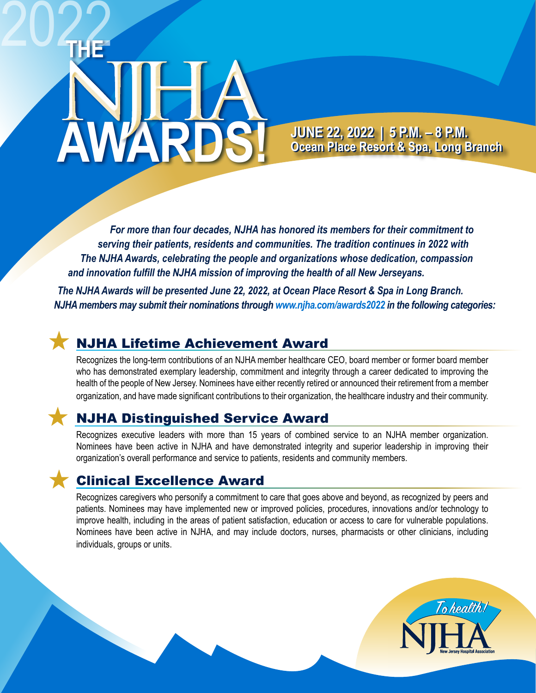# **AWARDS!** 2022

**JUNE 22, 2022 | 5 P.M. – 8 P.M. JUNE 22, 2022 | 5 P.M. – 8 P.M. Ocean Place Resort & Spa, Long Branch Ocean Place Resort & Spa, Long Branch**

To health!

*For more than four decades, NJHA has honored its members for their commitment to serving their patients, residents and communities. The tradition continues in 2022 with The NJHA Awards, celebrating the people and organizations whose dedication, compassion and innovation fulfill the NJHA mission of improving the health of all New Jerseyans.* 

*The NJHA Awards will be presented June 22, 2022, at Ocean Place Resort & Spa in Long Branch. NJHA members may submit their nominations through [www.njha.com/awards2022 i](https://www.njha.com/awards2022)n the following categories:*

### NJHA Lifetime Achievement Award

Recognizes the long-term contributions of an NJHA member healthcare CEO, board member or former board member who has demonstrated exemplary leadership, commitment and integrity through a career dedicated to improving the health of the people of New Jersey. Nominees have either recently retired or announced their retirement from a member organization, and have made significant contributions to their organization, the healthcare industry and their community.

## NJHA Distinguished Service Award

Recognizes executive leaders with more than 15 years of combined service to an NJHA member organization. Nominees have been active in NJHA and have demonstrated integrity and superior leadership in improving their organization's overall performance and service to patients, residents and community members.

## Clinical Excellence Award

Recognizes caregivers who personify a commitment to care that goes above and beyond, as recognized by peers and patients. Nominees may have implemented new or improved policies, procedures, innovations and/or technology to improve health, including in the areas of patient satisfaction, education or access to care for vulnerable populations. Nominees have been active in NJHA, and may include doctors, nurses, pharmacists or other clinicians, including individuals, groups or units.